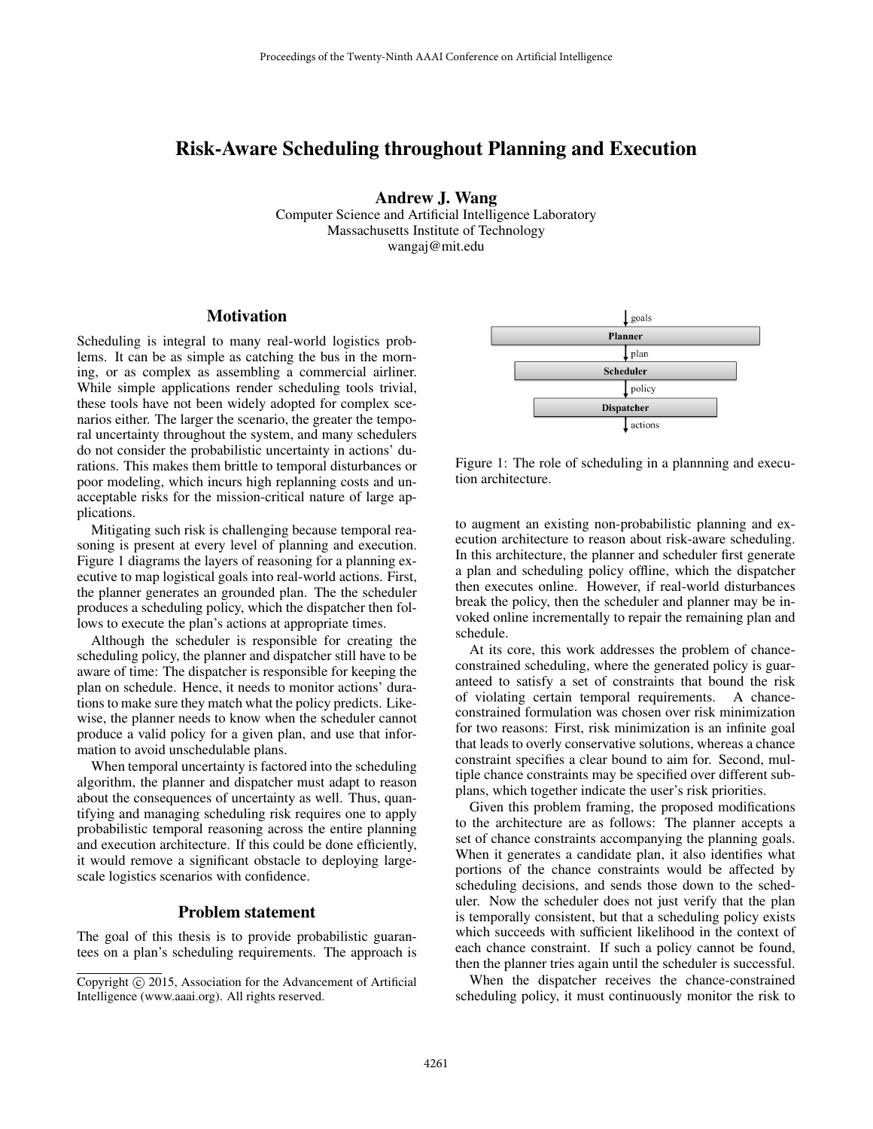# Risk-Aware Scheduling throughout Planning and Execution

Andrew J. Wang

Computer Science and Artificial Intelligence Laboratory Massachusetts Institute of Technology wangaj@mit.edu

### **Motivation**

Scheduling is integral to many real-world logistics problems. It can be as simple as catching the bus in the morning, or as complex as assembling a commercial airliner. While simple applications render scheduling tools trivial, these tools have not been widely adopted for complex scenarios either. The larger the scenario, the greater the temporal uncertainty throughout the system, and many schedulers do not consider the probabilistic uncertainty in actions' durations. This makes them brittle to temporal disturbances or poor modeling, which incurs high replanning costs and unacceptable risks for the mission-critical nature of large applications.

Mitigating such risk is challenging because temporal reasoning is present at every level of planning and execution. Figure 1 diagrams the layers of reasoning for a planning executive to map logistical goals into real-world actions. First, the planner generates an grounded plan. The the scheduler produces a scheduling policy, which the dispatcher then follows to execute the plan's actions at appropriate times.

Although the scheduler is responsible for creating the scheduling policy, the planner and dispatcher still have to be aware of time: The dispatcher is responsible for keeping the plan on schedule. Hence, it needs to monitor actions' durations to make sure they match what the policy predicts. Likewise, the planner needs to know when the scheduler cannot produce a valid policy for a given plan, and use that information to avoid unschedulable plans.

When temporal uncertainty is factored into the scheduling algorithm, the planner and dispatcher must adapt to reason about the consequences of uncertainty as well. Thus, quantifying and managing scheduling risk requires one to apply probabilistic temporal reasoning across the entire planning and execution architecture. If this could be done efficiently, it would remove a significant obstacle to deploying largescale logistics scenarios with confidence.

### Problem statement

The goal of this thesis is to provide probabilistic guarantees on a plan's scheduling requirements. The approach is





Figure 1: The role of scheduling in a plannning and execution architecture.

to augment an existing non-probabilistic planning and execution architecture to reason about risk-aware scheduling. In this architecture, the planner and scheduler first generate a plan and scheduling policy offline, which the dispatcher then executes online. However, if real-world disturbances break the policy, then the scheduler and planner may be invoked online incrementally to repair the remaining plan and schedule.

At its core, this work addresses the problem of chanceconstrained scheduling, where the generated policy is guaranteed to satisfy a set of constraints that bound the risk of violating certain temporal requirements. A chanceconstrained formulation was chosen over risk minimization for two reasons: First, risk minimization is an infinite goal that leads to overly conservative solutions, whereas a chance constraint specifies a clear bound to aim for. Second, multiple chance constraints may be specified over different subplans, which together indicate the user's risk priorities.

Given this problem framing, the proposed modifications to the architecture are as follows: The planner accepts a set of chance constraints accompanying the planning goals. When it generates a candidate plan, it also identifies what portions of the chance constraints would be affected by scheduling decisions, and sends those down to the scheduler. Now the scheduler does not just verify that the plan is temporally consistent, but that a scheduling policy exists which succeeds with sufficient likelihood in the context of each chance constraint. If such a policy cannot be found, then the planner tries again until the scheduler is successful.

When the dispatcher receives the chance-constrained scheduling policy, it must continuously monitor the risk to